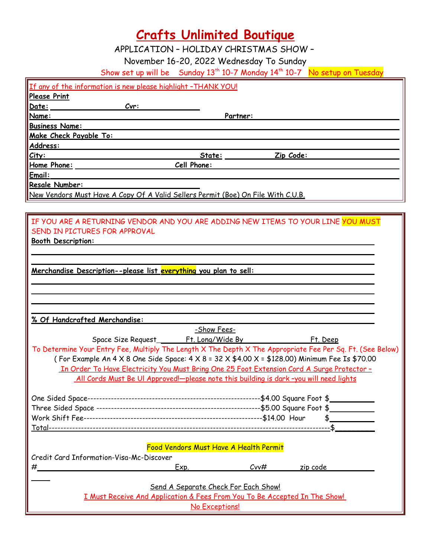# **Crafts Unlimited Boutique**

APPLICATION – HOLIDAY CHRISTMAS SHOW –

November 16-20, 2022 Wednesday To Sunday

Show set up will be Sunday 13<sup>th</sup> 10-7 Monday 14<sup>th</sup> 10-7 No setup on Tuesday

| If any of the information is new please highlight -THANK YOU!                                              |                    |           |                |  |  |  |  |
|------------------------------------------------------------------------------------------------------------|--------------------|-----------|----------------|--|--|--|--|
| <b>Please Print</b>                                                                                        |                    |           |                |  |  |  |  |
| Date:<br>Cvr:                                                                                              |                    |           |                |  |  |  |  |
| Name:                                                                                                      | Partner:           |           |                |  |  |  |  |
| <b>Business Name:</b>                                                                                      |                    |           |                |  |  |  |  |
| Make Check Payable To:                                                                                     |                    |           |                |  |  |  |  |
| Address:                                                                                                   |                    |           |                |  |  |  |  |
| City:                                                                                                      | State:             | Zip Code: |                |  |  |  |  |
| Home Phone:                                                                                                | <b>Cell Phone:</b> |           |                |  |  |  |  |
| Email:                                                                                                     |                    |           |                |  |  |  |  |
| Resale Number:                                                                                             |                    |           |                |  |  |  |  |
| New Vendors Must Have A Copy Of A Valid Sellers Permit (Boe) On File With C.U.B.                           |                    |           |                |  |  |  |  |
|                                                                                                            |                    |           |                |  |  |  |  |
|                                                                                                            |                    |           |                |  |  |  |  |
| IF YOU ARE A RETURNING VENDOR AND YOU ARE ADDING NEW ITEMS TO YOUR LINE YOU MUST                           |                    |           |                |  |  |  |  |
| SEND IN PICTURES FOR APPROVAL                                                                              |                    |           |                |  |  |  |  |
| <b>Booth Description:</b>                                                                                  |                    |           |                |  |  |  |  |
|                                                                                                            |                    |           |                |  |  |  |  |
|                                                                                                            |                    |           |                |  |  |  |  |
| <u> Merchandise Description--please list everything you plan to sell:</u>                                  |                    |           |                |  |  |  |  |
|                                                                                                            |                    |           |                |  |  |  |  |
|                                                                                                            |                    |           |                |  |  |  |  |
|                                                                                                            |                    |           |                |  |  |  |  |
|                                                                                                            |                    |           |                |  |  |  |  |
|                                                                                                            |                    |           |                |  |  |  |  |
| % Of Handcrafted Merchandise:                                                                              |                    |           |                |  |  |  |  |
|                                                                                                            | -Show Fees-        |           |                |  |  |  |  |
|                                                                                                            |                    |           | Ft. Deep       |  |  |  |  |
| To Determine Your Entry Fee, Multiply The Length X The Depth X The Appropriate Fee Per Sq. Ft. (See Below) |                    |           |                |  |  |  |  |
| (For Example An 4 X 8 One Side Space: 4 X 8 = 32 X \$4.00 X = \$128.00) Minimum Fee Is \$70.00             |                    |           |                |  |  |  |  |
| <u>In Order To Have Electricity You Must Bring One 25 Foot Extension Cord A Surge Protector -</u>          |                    |           |                |  |  |  |  |
| All Cords Must Be UI Approved!-please note this building is dark-you will need lights                      |                    |           |                |  |  |  |  |
|                                                                                                            |                    |           |                |  |  |  |  |
|                                                                                                            |                    |           |                |  |  |  |  |
|                                                                                                            |                    |           |                |  |  |  |  |
|                                                                                                            |                    |           |                |  |  |  |  |
|                                                                                                            |                    |           | $\updownarrow$ |  |  |  |  |
|                                                                                                            |                    |           |                |  |  |  |  |
|                                                                                                            |                    |           |                |  |  |  |  |
| Food Vendors Must Have A Health Permit                                                                     |                    |           |                |  |  |  |  |
| Credit Card Information-Visa-Mc-Discover                                                                   |                    |           |                |  |  |  |  |
| #_                                                                                                         | Exp.               | $C$ vv#   | zip code       |  |  |  |  |
|                                                                                                            |                    |           |                |  |  |  |  |
| Send A Separate Check For Each Show!                                                                       |                    |           |                |  |  |  |  |
| I Must Receive And Application & Fees From You To Be Accepted In The Show!                                 |                    |           |                |  |  |  |  |
|                                                                                                            | No Exceptions!     |           |                |  |  |  |  |